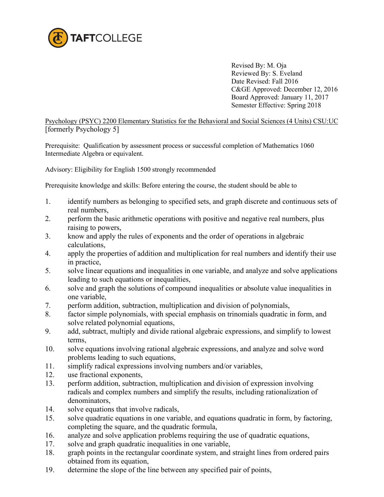

Revised By: M. Oja Reviewed By: S. Eveland Date Revised: Fall 2016 C&GE Approved: December 12, 2016 Board Approved: January 11, 2017 Semester Effective: Spring 2018

Psychology (PSYC) 2200 Elementary Statistics for the Behavioral and Social Sciences (4 Units) CSU:UC [formerly Psychology 5]

Prerequisite: Qualification by assessment process or successful completion of Mathematics 1060 Intermediate Algebra or equivalent.

Advisory: Eligibility for English 1500 strongly recommended

Prerequisite knowledge and skills: Before entering the course, the student should be able to

- 1. identify numbers as belonging to specified sets, and graph discrete and continuous sets of real numbers,
- 2. perform the basic arithmetic operations with positive and negative real numbers, plus raising to powers,
- 3. know and apply the rules of exponents and the order of operations in algebraic calculations,
- 4. apply the properties of addition and multiplication for real numbers and identify their use in practice,
- 5. solve linear equations and inequalities in one variable, and analyze and solve applications leading to such equations or inequalities,
- 6. solve and graph the solutions of compound inequalities or absolute value inequalities in one variable,
- 7. perform addition, subtraction, multiplication and division of polynomials,
- 8. factor simple polynomials, with special emphasis on trinomials quadratic in form, and solve related polynomial equations,
- 9. add, subtract, multiply and divide rational algebraic expressions, and simplify to lowest terms,
- 10. solve equations involving rational algebraic expressions, and analyze and solve word problems leading to such equations,
- 11. simplify radical expressions involving numbers and/or variables,
- 12. use fractional exponents,
- 13. perform addition, subtraction, multiplication and division of expression involving radicals and complex numbers and simplify the results, including rationalization of denominators,
- 14. solve equations that involve radicals,
- 15. solve quadratic equations in one variable, and equations quadratic in form, by factoring, completing the square, and the quadratic formula,
- 16. analyze and solve application problems requiring the use of quadratic equations,
- 17. solve and graph quadratic inequalities in one variable,
- 18. graph points in the rectangular coordinate system, and straight lines from ordered pairs obtained from its equation,
- 19. determine the slope of the line between any specified pair of points,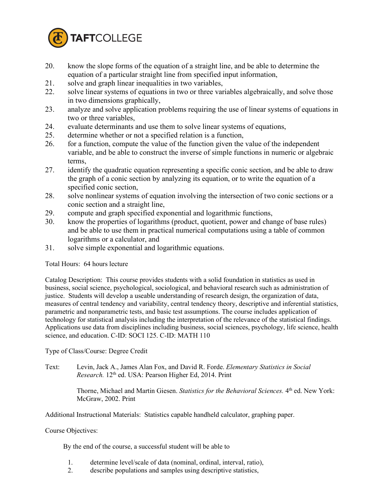

- 20. know the slope forms of the equation of a straight line, and be able to determine the equation of a particular straight line from specified input information,
- 21. solve and graph linear inequalities in two variables,
- 22. solve linear systems of equations in two or three variables algebraically, and solve those in two dimensions graphically,
- 23. analyze and solve application problems requiring the use of linear systems of equations in two or three variables,
- 24. evaluate determinants and use them to solve linear systems of equations,
- 25. determine whether or not a specified relation is a function,
- 26. for a function, compute the value of the function given the value of the independent variable, and be able to construct the inverse of simple functions in numeric or algebraic terms,
- 27. identify the quadratic equation representing a specific conic section, and be able to draw the graph of a conic section by analyzing its equation, or to write the equation of a specified conic section,
- 28. solve nonlinear systems of equation involving the intersection of two conic sections or a conic section and a straight line,
- 29. compute and graph specified exponential and logarithmic functions,
- 30. know the properties of logarithms (product, quotient, power and change of base rules) and be able to use them in practical numerical computations using a table of common logarithms or a calculator, and
- 31. solve simple exponential and logarithmic equations.

## Total Hours: 64 hours lecture

Catalog Description: This course provides students with a solid foundation in statistics as used in business, social science, psychological, sociological, and behavioral research such as administration of justice. Students will develop a useable understanding of research design, the organization of data, measures of central tendency and variability, central tendency theory, descriptive and inferential statistics, parametric and nonparametric tests, and basic test assumptions. The course includes application of technology for statistical analysis including the interpretation of the relevance of the statistical findings. Applications use data from disciplines including business, social sciences, psychology, life science, health science, and education. C-ID: SOCI 125. C-ID: MATH 110

## Type of Class/Course: Degree Credit

Text: Levin, Jack A., James Alan Fox, and David R. Forde. *Elementary Statistics in Social Research.* 12th ed. USA: Pearson Higher Ed, 2014. Print

> Thorne, Michael and Martin Giesen. *Statistics for the Behavioral Sciences*. 4<sup>th</sup> ed. New York: McGraw, 2002. Print

Additional Instructional Materials: Statistics capable handheld calculator, graphing paper.

## Course Objectives:

By the end of the course, a successful student will be able to

- 1. determine level/scale of data (nominal, ordinal, interval, ratio),
- 2. describe populations and samples using descriptive statistics,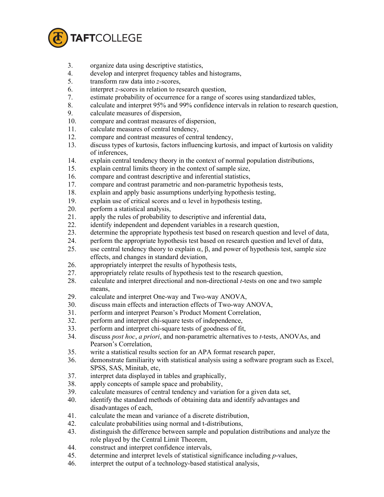

- 3. organize data using descriptive statistics,
- 4. develop and interpret frequency tables and histograms,
- 5. transform raw data into *z*-scores,
- 6. interpret *z*-scores in relation to research question,
- 7. estimate probability of occurrence for a range of scores using standardized tables,
- 8. calculate and interpret 95% and 99% confidence intervals in relation to research question,
- 9. calculate measures of dispersion,
- 10. compare and contrast measures of dispersion,
- 11. calculate measures of central tendency,
- 12. compare and contrast measures of central tendency,
- 13. discuss types of kurtosis, factors influencing kurtosis, and impact of kurtosis on validity of inferences,
- 14. explain central tendency theory in the context of normal population distributions,
- 15. explain central limits theory in the context of sample size,
- 16. compare and contrast descriptive and inferential statistics,
- 17. compare and contrast parametric and non-parametric hypothesis tests,
- 18. explain and apply basic assumptions underlying hypothesis testing,
- 19. explain use of critical scores and  $\alpha$  level in hypothesis testing,
- 20. perform a statistical analysis,
- 21. apply the rules of probability to descriptive and inferential data,
- 22. identify independent and dependent variables in a research question,
- 23. determine the appropriate hypothesis test based on research question and level of data,
- 24. perform the appropriate hypothesis test based on research question and level of data,
- 25. use central tendency theory to explain  $\alpha$ ,  $\beta$ , and power of hypothesis test, sample size effects, and changes in standard deviation,
- 26. appropriately interpret the results of hypothesis tests,
- 27. appropriately relate results of hypothesis test to the research question,
- 28. calculate and interpret directional and non-directional *t*-tests on one and two sample means,
- 29. calculate and interpret One-way and Two-way ANOVA,
- 30. discuss main effects and interaction effects of Two-way ANOVA,
- 31. perform and interpret Pearson's Product Moment Correlation,
- 32. perform and interpret chi-square tests of independence,
- 33. perform and interpret chi-square tests of goodness of fit,
- 34. discuss *post hoc*, *a priori*, and non-parametric alternatives to *t*-tests, ANOVAs, and Pearson's Correlation,
- 35. write a statistical results section for an APA format research paper,
- 36. demonstrate familiarity with statistical analysis using a software program such as Excel, SPSS, SAS, Minitab, etc,
- 37. interpret data displayed in tables and graphically,
- 38. apply concepts of sample space and probability,<br>39. calculate measures of central tendency and varia
- calculate measures of central tendency and variation for a given data set,
- 40. identify the standard methods of obtaining data and identify advantages and disadvantages of each,
- 41. calculate the mean and variance of a discrete distribution,
- 42. calculate probabilities using normal and t-distributions,
- 43. distinguish the difference between sample and population distributions and analyze the role played by the Central Limit Theorem,
- 44. construct and interpret confidence intervals,
- 45. determine and interpret levels of statistical significance including *p*-values,
- 46. interpret the output of a technology-based statistical analysis,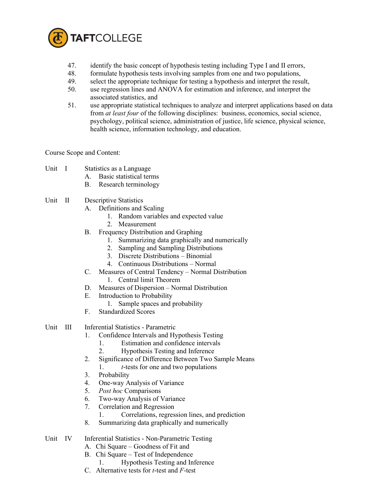

- 47. identify the basic concept of hypothesis testing including Type I and II errors,
- 48. formulate hypothesis tests involving samples from one and two populations,
- 49. select the appropriate technique for testing a hypothesis and interpret the result,
- 50. use regression lines and ANOVA for estimation and inference, and interpret the associated statistics, and
- 51. use appropriate statistical techniques to analyze and interpret applications based on data from *at least four* of the following disciplines: business, economics, social science, psychology, political science, administration of justice, life science, physical science, health science, information technology, and education.

Course Scope and Content:

- Unit I Statistics as a Language
	- A. Basic statistical terms
	- B. Research terminology
- Unit II Descriptive Statistics
	- A. Definitions and Scaling
		- 1. Random variables and expected value
		- 2. Measurement
	- B. Frequency Distribution and Graphing
		- 1. Summarizing data graphically and numerically
		- 2. Sampling and Sampling Distributions
		- 3. Discrete Distributions Binomial
		- 4. Continuous Distributions Normal
	- C. Measures of Central Tendency Normal Distribution 1. Central limit Theorem
	- D. Measures of Dispersion Normal Distribution
	- E. Introduction to Probability
		- 1. Sample spaces and probability
	- F. Standardized Scores
- Unit III Inferential Statistics Parametric
	- 1. Confidence Intervals and Hypothesis Testing
		- 1. Estimation and confidence intervals
		- 2. Hypothesis Testing and Inference
	- 2. Significance of Difference Between Two Sample Means
		- 1. *t*-tests for one and two populations
	- 3. Probability
	- 4. One-way Analysis of Variance
	- 5. *Post hoc* Comparisons
	- 6. Two-way Analysis of Variance
	- 7. Correlation and Regression
		- 1. Correlations, regression lines, and prediction
	- 8. Summarizing data graphically and numerically
- Unit IV Inferential Statistics Non-Parametric Testing
	- A. Chi Square Goodness of Fit and
	- B. Chi Square Test of Independence
		- 1. Hypothesis Testing and Inference
	- C. Alternative tests for *t*-test and *F*-test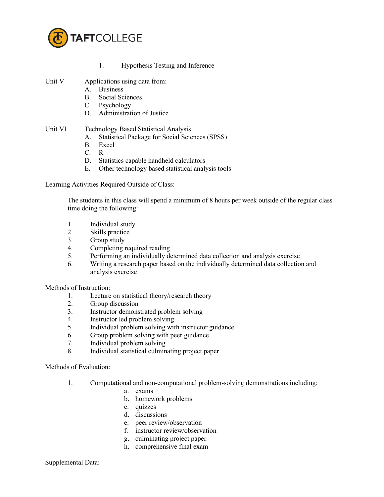

1. Hypothesis Testing and Inference

Unit V Applications using data from:

- A. Business
- B. Social Sciences
- C. Psychology
- D. Administration of Justice

## Unit VI Technology Based Statistical Analysis

- A. Statistical Package for Social Sciences (SPSS)
- B. Excel
- C. R
- D. Statistics capable handheld calculators
- E. Other technology based statistical analysis tools

Learning Activities Required Outside of Class:

The students in this class will spend a minimum of 8 hours per week outside of the regular class time doing the following:

- 1. Individual study
- 2. Skills practice
- 3. Group study
- 4. Completing required reading
- 5. Performing an individually determined data collection and analysis exercise
- 6. Writing a research paper based on the individually determined data collection and analysis exercise

Methods of Instruction:

- 1. Lecture on statistical theory/research theory
- 2. Group discussion
- 3. Instructor demonstrated problem solving
- 4. Instructor led problem solving
- 5. Individual problem solving with instructor guidance
- 6. Group problem solving with peer guidance
- 7. Individual problem solving
- 8. Individual statistical culminating project paper

Methods of Evaluation:

- 1. Computational and non-computational problem-solving demonstrations including:
	- a. exams
	- b. homework problems
	- c. quizzes
	- d. discussions
	- e. peer review/observation
	- f. instructor review/observation
	- g. culminating project paper
	- h. comprehensive final exam